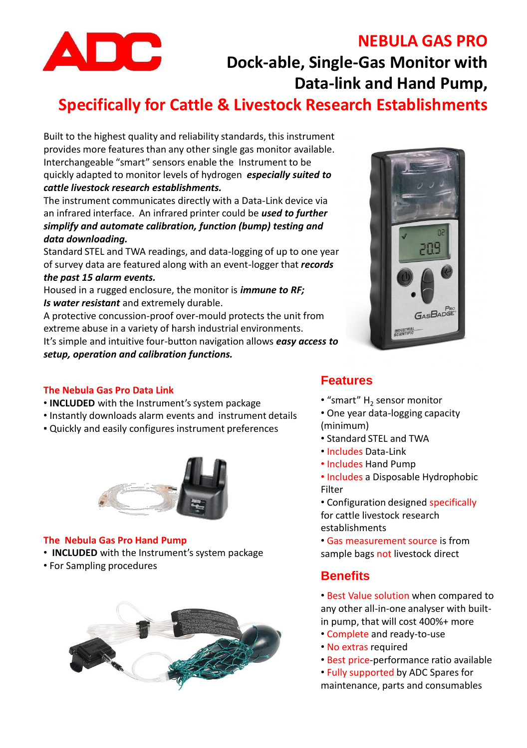

## **NEBULA GAS PRO**

**Dock-able, Single-Gas Monitor with Data-link and Hand Pump,** 

# **Specifically for Cattle & Livestock Research Establishments**

Built to the highest quality and reliability standards, this instrument provides more features than any other single gas monitor available. Interchangeable "smart" sensors enable the Instrument to be quickly adapted to monitor levels of hydrogen *especially suited to cattle livestock research establishments.*

The instrument communicates directly with a Data-Link device via an infrared interface. An infrared printer could be *used to further simplify and automate calibration, function (bump) testing and data downloading.* 

Standard STEL and TWA readings, and data-logging of up to one year of survey data are featured along with an event-logger that *records* 

#### *the past 15 alarm events.*

Housed in a rugged enclosure, the monitor is *immune to RF; Is water resistant* and extremely durable.

A protective concussion-proof over-mould protects the unit from extreme abuse in a variety of harsh industrial environments.

It's simple and intuitive four-button navigation allows *easy access to setup, operation and calibration functions.*



#### **The Nebula Gas Pro Data Link**

- **INCLUDED** with the Instrument's system package
- Instantly downloads alarm events and instrument details
- Quickly and easily configures instrument preferences



#### **The Nebula Gas Pro Hand Pump**

- **INCLUDED** with the Instrument's system package
- For Sampling procedures



### **Features**

- "smart"  $H_2$  sensor monitor
- One year data-logging capacity (minimum)
- Standard STEL and TWA
- Includes Data-Link
- Includes Hand Pump

• Includes a Disposable Hydrophobic Filter

• Configuration designed specifically for cattle livestock research establishments

• Gas measurement source is from sample bags not livestock direct

## **Benefits**

• Best Value solution when compared to any other all-in-one analyser with builtin pump, that will cost 400%+ more

- Complete and ready-to-use
- No extras required
- Best price-performance ratio available
- Fully supported by ADC Spares for maintenance, parts and consumables